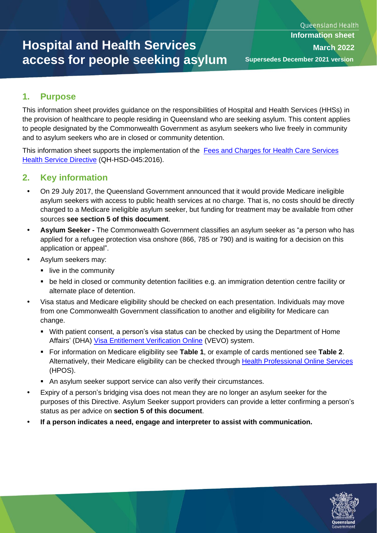# **Hospital and Health Services access for people seeking asylum**

## **1. Purpose**

This information sheet provides guidance on the responsibilities of Hospital and Health Services (HHSs) in the provision of healthcare to people residing in Queensland who are seeking asylum. This content applies to people designated by the Commonwealth Government as asylum seekers who live freely in community and to asylum seekers who are in closed or community detention.

This information sheet supports the implementation of the [Fees and Charges for Health Care Services](https://www.health.qld.gov.au/directives/html/a#f)  [Health Service Directive](https://www.health.qld.gov.au/directives/html/a#f) (QH-HSD-045:2016).

## **2. Key information**

- On 29 July 2017, the Queensland Government announced that it would provide Medicare ineligible asylum seekers with access to public health services at no charge. That is, no costs should be directly charged to a Medicare ineligible asylum seeker, but funding for treatment may be available from other sources **see section 5 of this document**.
- **Asylum Seeker -** The Commonwealth Government classifies an asylum seeker as "a person who has applied for a refugee protection visa onshore (866, 785 or 790) and is waiting for a decision on this application or appeal".
- Asylum seekers may:
	- **·** live in the community
	- be held in closed or community detention facilities e.g. an immigration detention centre facility or alternate place of detention.
- Visa status and Medicare eligibility should be checked on each presentation. Individuals may move from one Commonwealth Government classification to another and eligibility for Medicare can change.
	- With patient consent, a person's visa status can be checked by using the Department of Home Affairs' (DHA) [Visa Entitlement Verification Online](https://www.border.gov.au/Busi/visas-and-migration/visa-entitlement-verification-online-%28vevo%29) (VEVO) system.
	- For information on Medicare eligibility see **Table 1**, or example of cards mentioned see **Table 2**. Alternatively, their Medicare eligibility can be checked through [Health Professional Online Services](https://www.servicesaustralia.gov.au/organisations/health-professionals/services/medicare/hpos) (HPOS).
	- An asylum seeker support service can also verify their circumstances.
- Expiry of a person's bridging visa does not mean they are no longer an asylum seeker for the purposes of this Directive. Asylum Seeker support providers can provide a letter confirming a person's status as per advice on **section 5 of this document**.
- **If a person indicates a need, engage and interpreter to assist with communication.**

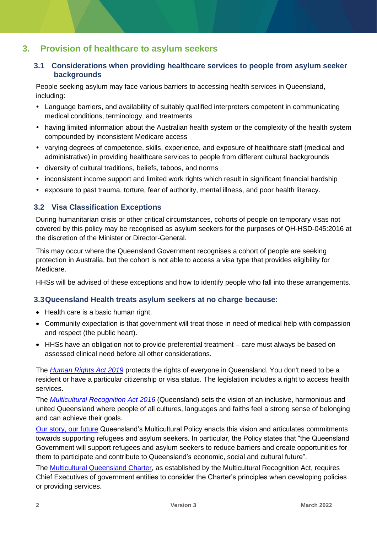### **3. Provision of healthcare to asylum seekers**

#### **3.1 Considerations when providing healthcare services to people from asylum seeker backgrounds**

People seeking asylum may face various barriers to accessing health services in Queensland, including:

- Language barriers, and availability of suitably qualified interpreters competent in communicating medical conditions, terminology, and treatments
- having limited information about the Australian health system or the complexity of the health system compounded by inconsistent Medicare access
- varying degrees of competence, skills, experience, and exposure of healthcare staff (medical and administrative) in providing healthcare services to people from different cultural backgrounds
- diversity of cultural traditions, beliefs, taboos, and norms
- inconsistent income support and limited work rights which result in significant financial hardship
- exposure to past trauma, torture, fear of authority, mental illness, and poor health literacy.

#### **3.2 Visa Classification Exceptions**

During humanitarian crisis or other critical circumstances, cohorts of people on temporary visas not covered by this policy may be recognised as asylum seekers for the purposes of QH-HSD-045:2016 at the discretion of the Minister or Director-General.

This may occur where the Queensland Government recognises a cohort of people are seeking protection in Australia, but the cohort is not able to access a visa type that provides eligibility for Medicare.

HHSs will be advised of these exceptions and how to identify people who fall into these arrangements.

#### **3.3Queensland Health treats asylum seekers at no charge because:**

- Health care is a basic human right.
- Community expectation is that government will treat those in need of medical help with compassion and respect (the public heart).
- HHSs have an obligation not to provide preferential treatment care must always be based on assessed clinical need before all other considerations.

The *[Human Rights Act 2019](https://qheps.health.qld.gov.au/sppd/html/spl/human-rights)* protects the rights of everyone in Queensland. You don't need to be a resident or have a particular citizenship or visa status. The legislation includes a right to access health services.

The *[Multicultural Recognition Act 2016](https://www.legislation.qld.gov.au/view/html/inforce/current/act-2016-001)* (Queensland) sets the vision of an inclusive, harmonious and united Queensland where people of all cultures, languages and faiths feel a strong sense of belonging and can achieve their goals.

[Our story, our future](https://www.cyjma.qld.gov.au/multicultural-affairs/policy-governance/multicultural-policy-action-plan) Queensland's Multicultural Policy enacts this vision and articulates commitments towards supporting refugees and asylum seekers. In particular, the Policy states that "the Queensland Government will support refugees and asylum seekers to reduce barriers and create opportunities for them to participate and contribute to Queensland's economic, social and cultural future".

The [Multicultural Queensland Charter,](https://www.cyjma.qld.gov.au/multicultural-affairs/policy-governance/multicultural-queensland-charter) as established by the Multicultural Recognition Act, requires Chief Executives of government entities to consider the Charter's principles when developing policies or providing services.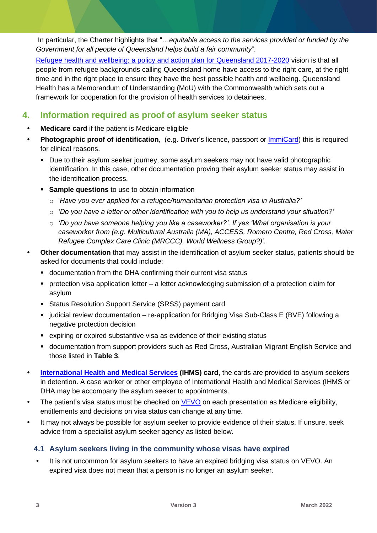In particular, the Charter highlights that "…*equitable access to the services provided or funded by the Government for all people of Queensland helps build a fair community*".

Refugee health and wellbeing: [a policy and action plan for Queensland 2017-2020](https://www.health.qld.gov.au/multicultural/policies/policies_plans) vision is that all people from refugee backgrounds calling Queensland home have access to the right care, at the right time and in the right place to ensure they have the best possible health and wellbeing. Queensland Health has a Memorandum of Understanding (MoU) with the Commonwealth which sets out a framework for cooperation for the provision of health services to detainees.

## **4. Information required as proof of asylum seeker status**

- **Medicare card** if the patient is Medicare eligible
- **Photographic proof of identification**, (e.g. Driver's licence, passport or [ImmiCard\)](https://www.border.gov.au/Trav/Refu/Immi) this is required for clinical reasons.
	- Due to their asylum seeker journey, some asylum seekers may not have valid photographic identification. In this case, other documentation proving their asylum seeker status may assist in the identification process.
	- **EXECT:** Sample questions to use to obtain information
		- o '*Have you ever applied for a refugee/humanitarian protection visa in Australia?'*
		- o *'Do you have a letter or other identification with you to help us understand your situation?'*
		- o *'Do you have someone helping you like a caseworker?', If yes 'What organisation is your caseworker from (e.g. Multicultural Australia (MA), ACCESS, Romero Centre, Red Cross, Mater Refugee Complex Care Clinic (MRCCC), World Wellness Group?)'.*
- **Other documentation** that may assist in the identification of asylum seeker status, patients should be asked for documents that could include:
	- documentation from the DHA confirming their current visa status
	- protection visa application letter a letter acknowledging submission of a protection claim for asylum
	- Status Resolution Support Service (SRSS) payment card
	- judicial review documentation re-application for Bridging Visa Sub-Class E (BVE) following a negative protection decision
	- expiring or expired substantive visa as evidence of their existing status
	- documentation from support providers such as Red Cross, Australian Migrant English Service and those listed in **Table 3**.
- **International Health [and Medical Services](http://www.ihms.com.au/contact.php) (IHMS) card**, the cards are provided to asylum seekers in detention. A case worker or other employee of International Health and Medical Services (IHMS or DHA may be accompany the asylum seeker to appointments.
- The patient's visa status must be checked on  $VEVO$  on each presentation as Medicare eligibility, entitlements and decisions on visa status can change at any time.
- It may not always be possible for asylum seeker to provide evidence of their status. If unsure, seek advice from a specialist asylum seeker agency as listed below.

#### **4.1 Asylum seekers living in the community whose visas have expired**

 It is not uncommon for asylum seekers to have an expired bridging visa status on VEVO. An expired visa does not mean that a person is no longer an asylum seeker.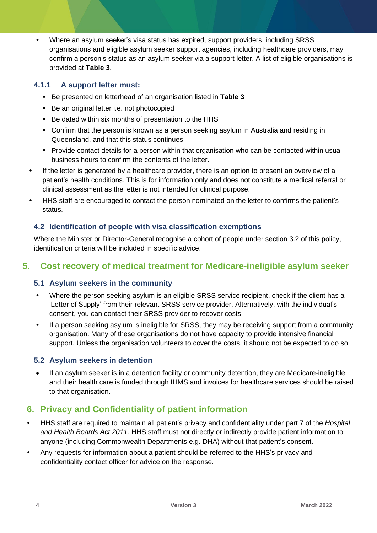Where an asylum seeker's visa status has expired, support providers, including SRSS organisations and eligible asylum seeker support agencies, including healthcare providers, may confirm a person's status as an asylum seeker via a support letter. A list of eligible organisations is provided at **Table 3**.

#### **4.1.1 A support letter must:**

- Be presented on letterhead of an organisation listed in **Table 3**
- Be an original letter i.e. not photocopied
- Be dated within six months of presentation to the HHS
- Confirm that the person is known as a person seeking asylum in Australia and residing in Queensland, and that this status continues
- Provide contact details for a person within that organisation who can be contacted within usual business hours to confirm the contents of the letter.
- If the letter is generated by a healthcare provider, there is an option to present an overview of a patient's health conditions. This is for information only and does not constitute a medical referral or clinical assessment as the letter is not intended for clinical purpose.
- HHS staff are encouraged to contact the person nominated on the letter to confirms the patient's status.

#### **4.2 Identification of people with visa classification exemptions**

Where the Minister or Director-General recognise a cohort of people under section 3.2 of this policy, identification criteria will be included in specific advice.

#### **5. Cost recovery of medical treatment for Medicare-ineligible asylum seeker**

#### **5.1 Asylum seekers in the community**

- Where the person seeking asylum is an eligible SRSS service recipient, check if the client has a 'Letter of Supply' from their relevant SRSS service provider. Alternatively, with the individual's consent, you can contact their SRSS provider to recover costs.
- If a person seeking asylum is ineligible for SRSS, they may be receiving support from a community organisation. Many of these organisations do not have capacity to provide intensive financial support. Unless the organisation volunteers to cover the costs, it should not be expected to do so.

#### **5.2 Asylum seekers in detention**

• If an asylum seeker is in a detention facility or community detention, they are Medicare-ineligible, and their health care is funded through IHMS and invoices for healthcare services should be raised to that organisation.

## **6. Privacy and Confidentiality of patient information**

- HHS staff are required to maintain all patient's privacy and confidentiality under part 7 of the *[Hospital](https://www.legislation.qld.gov.au/view/pdf/inforce/current/act-2011-032)  [and Health Boards](https://www.legislation.qld.gov.au/view/pdf/inforce/current/act-2011-032) Act 2011*. HHS staff must not directly or indirectly provide patient information to anyone (including Commonwealth Departments e.g. DHA) without that patient's consent.
- Any requests for information about a patient should be referred to the HHS's privacy and confidentiality contact officer for advice on the response.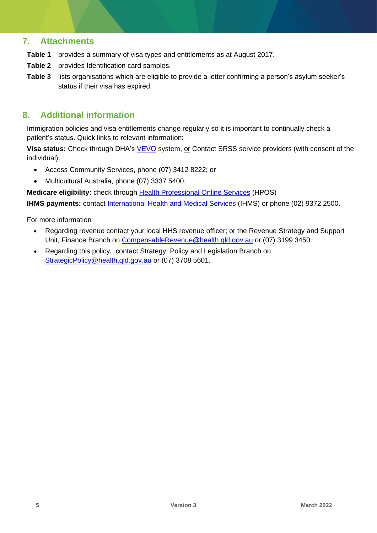### **7. Attachments**

- **Table 1** provides a summary of visa types and entitlements as at August 2017.
- **Table 2** provides Identification card samples.
- **Table 3** lists organisations which are eligible to provide a letter confirming a person's asylum seeker's status if their visa has expired.

## **8. Additional information**

Immigration policies and visa entitlements change regularly so it is important to continually check a patient's status. Quick links to relevant information:

**Visa status:** Check through DHA's [VEVO](https://www.border.gov.au/Busi/visas-and-migration/visa-entitlement-verification-online-%28vevo%29) system, or Contact SRSS service providers (with consent of the individual):

- Access Community Services, phone (07) 3412 8222; or
- Multicultural Australia, phone (07) 3337 5400.

**Medicare eligibility:** check through **Health Professional Online Services** (HPOS)

**IHMS payments:** contact International Health [and Medical Services](http://www.ihms.com.au/contact.php) (IHMS) or phone (02) 9372 2500.

For more information

- Regarding revenue contact your local HHS revenue officer; or the Revenue Strategy and Support Unit, Finance Branch on [CompensableRevenue@health.qld.gov.au](mailto:CompensableRevenue@health.qld.gov.au) or (07) 3199 3450.
- Regarding this policy, contact Strategy, Policy and Legislation Branch on [StrategicPolicy@health.qld.gov.au](mailto:StrategicPolicy@health.qld.gov.au) or (07) 3708 5601.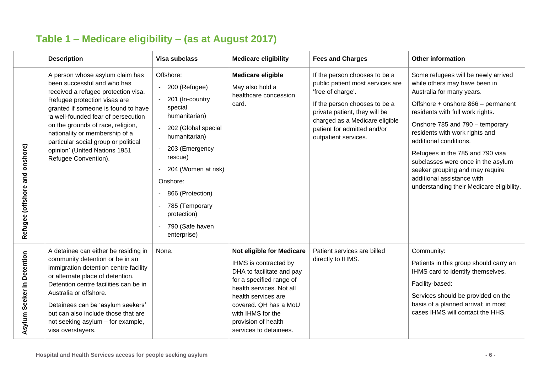|                                | <b>Description</b>                                                                                                                                                                                                                                                                                                                                                                          | <b>Visa subclass</b>                                                                                                                                                                                                                                                       | <b>Medicare eligibility</b>                                                                                                                                                                                                                                   | <b>Fees and Charges</b>                                                                                                                                                                                                                           | <b>Other information</b>                                                                                                                                                                                                                                                                                                                                                                                                                                           |
|--------------------------------|---------------------------------------------------------------------------------------------------------------------------------------------------------------------------------------------------------------------------------------------------------------------------------------------------------------------------------------------------------------------------------------------|----------------------------------------------------------------------------------------------------------------------------------------------------------------------------------------------------------------------------------------------------------------------------|---------------------------------------------------------------------------------------------------------------------------------------------------------------------------------------------------------------------------------------------------------------|---------------------------------------------------------------------------------------------------------------------------------------------------------------------------------------------------------------------------------------------------|--------------------------------------------------------------------------------------------------------------------------------------------------------------------------------------------------------------------------------------------------------------------------------------------------------------------------------------------------------------------------------------------------------------------------------------------------------------------|
| Refugee (offshore and onshore) | A person whose asylum claim has<br>been successful and who has<br>received a refugee protection visa.<br>Refugee protection visas are<br>granted if someone is found to have<br>'a well-founded fear of persecution<br>on the grounds of race, religion,<br>nationality or membership of a<br>particular social group or political<br>opinion' (United Nations 1951<br>Refugee Convention). | Offshore:<br>- 200 (Refugee)<br>201 (In-country<br>special<br>humanitarian)<br>202 (Global special<br>humanitarian)<br>203 (Emergency<br>rescue)<br>204 (Women at risk)<br>Onshore:<br>866 (Protection)<br>785 (Temporary<br>protection)<br>790 (Safe haven<br>enterprise) | <b>Medicare eligible</b><br>May also hold a<br>healthcare concession<br>card.                                                                                                                                                                                 | If the person chooses to be a<br>public patient most services are<br>'free of charge'.<br>If the person chooses to be a<br>private patient, they will be<br>charged as a Medicare eligible<br>patient for admitted and/or<br>outpatient services. | Some refugees will be newly arrived<br>while others may have been in<br>Australia for many years.<br>Offshore + onshore 866 - permanent<br>residents with full work rights.<br>Onshore 785 and 790 - temporary<br>residents with work rights and<br>additional conditions.<br>Refugees in the 785 and 790 visa<br>subclasses were once in the asylum<br>seeker grouping and may require<br>additional assistance with<br>understanding their Medicare eligibility. |
| Seeker in Detention<br>Asylum  | A detainee can either be residing in<br>community detention or be in an<br>immigration detention centre facility<br>or alternate place of detention.<br>Detention centre facilities can be in<br>Australia or offshore.<br>Detainees can be 'asylum seekers'<br>but can also include those that are<br>not seeking asylum - for example,<br>visa overstayers.                               | None.                                                                                                                                                                                                                                                                      | Not eligible for Medicare<br>IHMS is contracted by<br>DHA to facilitate and pay<br>for a specified range of<br>health services. Not all<br>health services are<br>covered. QH has a MoU<br>with IHMS for the<br>provision of health<br>services to detainees. | Patient services are billed<br>directly to IHMS.                                                                                                                                                                                                  | Community:<br>Patients in this group should carry an<br>IHMS card to identify themselves.<br>Facility-based:<br>Services should be provided on the<br>basis of a planned arrival; in most<br>cases IHMS will contact the HHS.                                                                                                                                                                                                                                      |

## **Table 1 – Medicare eligibility – (as at August 2017)**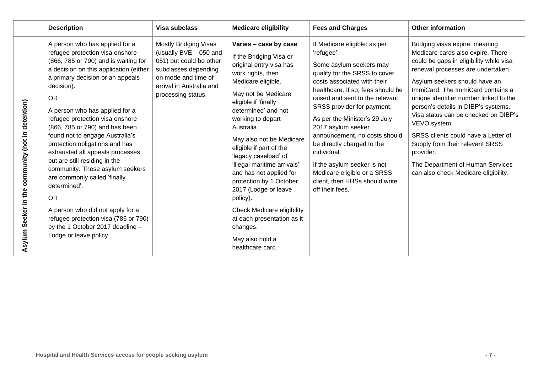|                                                   | <b>Description</b>                                                                                                                                                                                                                                                                                                                                                                                                                                                                                                                                                                                                                                                                                           | <b>Visa subclass</b>                                                                                                                                                        | <b>Medicare eligibility</b>                                                                                                                                                                                                                                                                                                                                                                                                                                                                                                               | <b>Fees and Charges</b>                                                                                                                                                                                                                                                                                                                                                                                                                                                                             | <b>Other information</b>                                                                                                                                                                                                                                                                                                                                                                                                                                                                                                              |
|---------------------------------------------------|--------------------------------------------------------------------------------------------------------------------------------------------------------------------------------------------------------------------------------------------------------------------------------------------------------------------------------------------------------------------------------------------------------------------------------------------------------------------------------------------------------------------------------------------------------------------------------------------------------------------------------------------------------------------------------------------------------------|-----------------------------------------------------------------------------------------------------------------------------------------------------------------------------|-------------------------------------------------------------------------------------------------------------------------------------------------------------------------------------------------------------------------------------------------------------------------------------------------------------------------------------------------------------------------------------------------------------------------------------------------------------------------------------------------------------------------------------------|-----------------------------------------------------------------------------------------------------------------------------------------------------------------------------------------------------------------------------------------------------------------------------------------------------------------------------------------------------------------------------------------------------------------------------------------------------------------------------------------------------|---------------------------------------------------------------------------------------------------------------------------------------------------------------------------------------------------------------------------------------------------------------------------------------------------------------------------------------------------------------------------------------------------------------------------------------------------------------------------------------------------------------------------------------|
| Asylum Seeker in the community (not in detention) | A person who has applied for a<br>refugee protection visa onshore<br>(866, 785 or 790) and is waiting for<br>a decision on this application (either<br>a primary decision or an appeals<br>decision).<br><b>OR</b><br>A person who has applied for a<br>refugee protection visa onshore<br>(866, 785 or 790) and has been<br>found not to engage Australia's<br>protection obligations and has<br>exhausted all appeals processes<br>but are still residing in the<br>community. These asylum seekers<br>are commonly called 'finally<br>determined'.<br><b>OR</b><br>A person who did not apply for a<br>refugee protection visa (785 or 790)<br>by the 1 October 2017 deadline -<br>Lodge or leave policy. | Mostly Bridging Visas<br>(usually BVE - 050 and<br>051) but could be other<br>subclasses depending<br>on mode and time of<br>arrival in Australia and<br>processing status. | Varies - case by case<br>If the Bridging Visa or<br>original entry visa has<br>work rights, then<br>Medicare eligible.<br>May not be Medicare<br>eligible if 'finally<br>determined' and not<br>working to depart<br>Australia.<br>May also not be Medicare<br>eligible if part of the<br>'legacy caseload' of<br>'illegal maritime arrivals'<br>and has not applied for<br>protection by 1 October<br>2017 (Lodge or leave<br>policy).<br><b>Check Medicare eligibility</b><br>at each presentation as it<br>changes.<br>May also hold a | If Medicare eligible: as per<br>'refugee'.<br>Some asylum seekers may<br>qualify for the SRSS to cover<br>costs associated with their<br>healthcare. If so, fees should be<br>raised and sent to the relevant<br>SRSS provider for payment.<br>As per the Minister's 29 July<br>2017 asylum seeker<br>announcement, no costs should<br>be directly charged to the<br>individual.<br>If the asylum seeker is not<br>Medicare eligible or a SRSS<br>client, then HHSs should write<br>off their fees. | Bridging visas expire, meaning<br>Medicare cards also expire. There<br>could be gaps in eligibility while visa<br>renewal processes are undertaken.<br>Asylum seekers should have an<br>ImmiCard. The ImmiCard contains a<br>unique identifier number linked to the<br>person's details in DIBP's systems.<br>Visa status can be checked on DIBP's<br>VEVO system.<br>SRSS clients could have a Letter of<br>Supply from their relevant SRSS<br>provider.<br>The Department of Human Services<br>can also check Medicare eligibility. |
|                                                   |                                                                                                                                                                                                                                                                                                                                                                                                                                                                                                                                                                                                                                                                                                              |                                                                                                                                                                             | healthcare card.                                                                                                                                                                                                                                                                                                                                                                                                                                                                                                                          |                                                                                                                                                                                                                                                                                                                                                                                                                                                                                                     |                                                                                                                                                                                                                                                                                                                                                                                                                                                                                                                                       |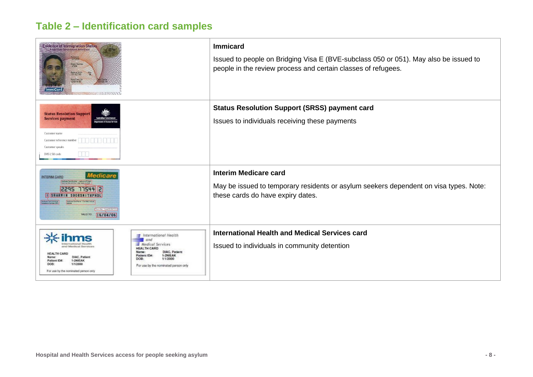## **Table 2 – Identification card samples**

| <b>Evidence of Immigration Status</b><br>Suname<br>CITCEN<br><b>Civen Names</b><br><b>JOHN</b><br>Date of Birth<br>Imm Card No.<br>EIS014187<br>mmiCarr                                                                                                                                                                                          | <b>Immicard</b><br>Issued to people on Bridging Visa E (BVE-subclass 050 or 051). May also be issued to<br>people in the review process and certain classes of refugees. |  |  |  |
|--------------------------------------------------------------------------------------------------------------------------------------------------------------------------------------------------------------------------------------------------------------------------------------------------------------------------------------------------|--------------------------------------------------------------------------------------------------------------------------------------------------------------------------|--|--|--|
| <b>Status Resolution Support</b><br><b>Services payment</b><br>Customer name<br>Customer reference number<br>Customer speaks<br>DHS LSU code                                                                                                                                                                                                     | <b>Status Resolution Support (SRSS) payment card</b><br>Issues to individuals receiving these payments                                                                   |  |  |  |
| Medicare<br><b>INTERIM CARD</b><br>care Card Number - made up of 9 digit<br>number and the 1 digit leave number<br>77544 2<br>2295<br><b>I SHARMIN SBORSMITHPHOL</b><br>spiny Date - Format DDAMA<br>VALID TO 16/04/06                                                                                                                           | <b>Interim Medicare card</b><br>May be issued to temporary residents or asylum seekers dependent on visa types. Note:<br>these cards do have expiry dates.               |  |  |  |
| $\equiv$ International Health<br>$\equiv$ and<br>$\equiv$ Medical Services<br><b>HEALTH CARD</b><br><b>DIAC, Patient</b><br>Name:<br><b>HEALTH</b><br>1-2NIEAK<br>Patient ID#<br>DIAC, Patient<br>1/1/2000<br>DOB:<br>1-2NIEAK<br>Patient ID#<br>1/1/2000<br>DOB<br>For use by the nominated person only<br>For use by the nominated person only | International Health and Medical Services card<br>Issued to individuals in community detention                                                                           |  |  |  |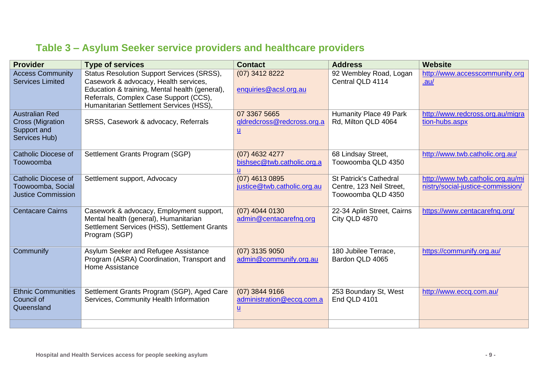|  |  |  | Table 3 – Asylum Seeker service providers and healthcare providers |  |
|--|--|--|--------------------------------------------------------------------|--|
|  |  |  |                                                                    |  |

| <b>Provider</b>                                                                  | <b>Type of services</b>                                                                                                                                                                                                           | <b>Contact</b>                                                   | <b>Address</b>                                                                  | <b>Website</b>                                                         |
|----------------------------------------------------------------------------------|-----------------------------------------------------------------------------------------------------------------------------------------------------------------------------------------------------------------------------------|------------------------------------------------------------------|---------------------------------------------------------------------------------|------------------------------------------------------------------------|
| <b>Access Community</b><br><b>Services Limited</b>                               | <b>Status Resolution Support Services (SRSS),</b><br>Casework & advocacy, Health services,<br>Education & training, Mental health (general),<br>Referrals, Complex Case Support (CCS),<br>Humanitarian Settlement Services (HSS), | (07) 3412 8222<br>enquiries@acsl.org.au                          | 92 Wembley Road, Logan<br>Central QLD 4114                                      | http://www.accesscommunity.org<br>.au/                                 |
| <b>Australian Red</b><br><b>Cross (Migration</b><br>Support and<br>Services Hub) | SRSS, Casework & advocacy, Referrals                                                                                                                                                                                              | 07 3367 5665<br>qldredcross@redcross.org.a<br>$\underline{u}$    | Humanity Place 49 Park<br>Rd, Milton QLD 4064                                   | http://www.redcross.org.au/migra<br>tion-hubs.aspx                     |
| <b>Catholic Diocese of</b><br>Toowoomba                                          | Settlement Grants Program (SGP)                                                                                                                                                                                                   | (07) 4632 4277<br>bishsec@twb.catholic.org.a<br>u                | 68 Lindsay Street,<br>Toowoomba QLD 4350                                        | http://www.twb.catholic.org.au/                                        |
| <b>Catholic Diocese of</b><br>Toowoomba, Social<br><b>Justice Commission</b>     | Settlement support, Advocacy                                                                                                                                                                                                      | $(07)$ 4613 0895<br>justice@twb.catholic.org.au                  | <b>St Patrick's Cathedral</b><br>Centre, 123 Neil Street,<br>Toowoomba QLD 4350 | http://www.twb.catholic.org.au/mi<br>nistry/social-justice-commission/ |
| <b>Centacare Cairns</b>                                                          | Casework & advocacy, Employment support,<br>Mental health (general), Humanitarian<br>Settlement Services (HSS), Settlement Grants<br>Program (SGP)                                                                                | $(07)$ 4044 0130<br>admin@centacarefng.org                       | 22-34 Aplin Street, Cairns<br>City QLD 4870                                     | https://www.centacarefnq.org/                                          |
| Communify                                                                        | Asylum Seeker and Refugee Assistance<br>Program (ASRA) Coordination, Transport and<br>Home Assistance                                                                                                                             | $(07)$ 3135 9050<br>admin@communify.org.au                       | 180 Jubilee Terrace,<br>Bardon QLD 4065                                         | https://communify.org.au/                                              |
| <b>Ethnic Communities</b><br>Council of<br>Queensland                            | Settlement Grants Program (SGP), Aged Care<br>Services, Community Health Information                                                                                                                                              | $(07)$ 3844 9166<br>administration@eccq.com.a<br>$\underline{u}$ | 253 Boundary St, West<br>End QLD 4101                                           | http://www.eccq.com.au/                                                |
|                                                                                  |                                                                                                                                                                                                                                   |                                                                  |                                                                                 |                                                                        |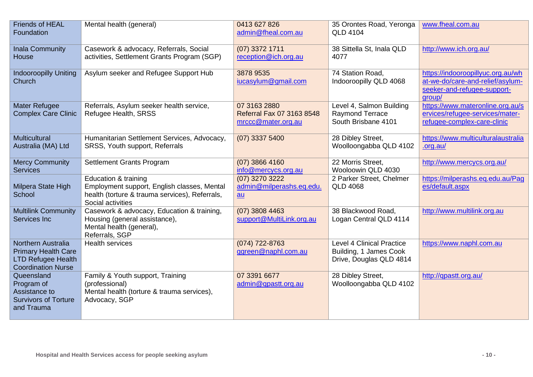| <b>Friends of HEAL</b><br>Foundation                                                                              | Mental health (general)                                                                                                                    | 0413 627 826<br>admin@fheal.com.au                                      | 35 Orontes Road, Yeronga<br><b>QLD 4104</b>                                           | www.fheal.com.au                                                                                               |
|-------------------------------------------------------------------------------------------------------------------|--------------------------------------------------------------------------------------------------------------------------------------------|-------------------------------------------------------------------------|---------------------------------------------------------------------------------------|----------------------------------------------------------------------------------------------------------------|
| Inala Community<br>House                                                                                          | Casework & advocacy, Referrals, Social<br>activities, Settlement Grants Program (SGP)                                                      | (07) 3372 1711<br>reception@ich.org.au                                  | 38 Sittella St, Inala QLD<br>4077                                                     | http://www.ich.org.au/                                                                                         |
| <b>Indooroopilly Uniting</b><br>Church                                                                            | Asylum seeker and Refugee Support Hub                                                                                                      | 3878 9535<br>iucasylum@gmail.com                                        | 74 Station Road,<br>Indooroopilly QLD 4068                                            | https://indooroopillyuc.org.au/wh<br>at-we-do/care-and-relief/asylum-<br>seeker-and-refugee-support-<br>group/ |
| <b>Mater Refugee</b><br><b>Complex Care Clinic</b>                                                                | Referrals, Asylum seeker health service,<br>Refugee Health, SRSS                                                                           | 07 3163 2880<br>Referral Fax 07 3163 8548<br>mrccc@mater.org.au         | Level 4, Salmon Building<br>Raymond Terrace<br>South Brisbane 4101                    | https://www.materonline.org.au/s<br>ervices/refugee-services/mater-<br>refugee-complex-care-clinic             |
| <b>Multicultural</b><br>Australia (MA) Ltd                                                                        | Humanitarian Settlement Services, Advocacy,<br>SRSS, Youth support, Referrals                                                              | $(07)$ 3337 5400                                                        | 28 Dibley Street,<br>Woolloongabba QLD 4102                                           | https://www.multiculturalaustralia<br>.org.au/                                                                 |
| <b>Mercy Community</b><br><b>Services</b>                                                                         | Settlement Grants Program                                                                                                                  | $(07)$ 3866 4160<br>info@mercycs.org.au                                 | 22 Morris Street,<br>Wooloowin QLD 4030                                               | http://www.mercycs.org.au/                                                                                     |
| Milpera State High<br>School                                                                                      | Education & training<br>Employment support, English classes, Mental<br>health (torture & trauma services), Referrals,<br>Social activities | (07) 3270 3222<br>admin@milperashs.eq.edu.<br>$\underline{\mathsf{au}}$ | 2 Parker Street, Chelmer<br><b>QLD 4068</b>                                           | https://milperashs.eq.edu.au/Pag<br>es/default.aspx                                                            |
| <b>Multilink Community</b><br>Services Inc                                                                        | Casework & advocacy, Education & training,<br>Housing (general assistance),<br>Mental health (general),<br>Referrals, SGP                  | $(07)$ 3808 4463<br>support@MultiLink.org.au                            | 38 Blackwood Road,<br>Logan Central QLD 4114                                          | http://www.multilink.org.au                                                                                    |
| <b>Northern Australia</b><br><b>Primary Health Care</b><br><b>LTD Refugee Health</b><br><b>Coordination Nurse</b> | <b>Health services</b>                                                                                                                     | (074) 722-8763<br>ggreen@naphl.com.au                                   | <b>Level 4 Clinical Practice</b><br>Building, 1 James Cook<br>Drive, Douglas QLD 4814 | https://www.naphl.com.au                                                                                       |
| Queensland<br>Program of<br>Assistance to<br><b>Survivors of Torture</b><br>and Trauma                            | Family & Youth support, Training<br>(professional)<br>Mental health (torture & trauma services),<br>Advocacy, SGP                          | 07 3391 6677<br>admin@qpastt.org.au                                     | 28 Dibley Street,<br>Woolloongabba QLD 4102                                           | http://qpastt.org.au/                                                                                          |